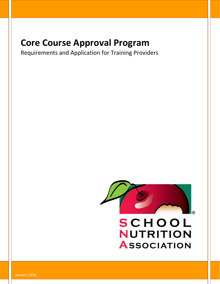# **Core Course Approval Program**

Requirements and Application for Training Providers



January 2016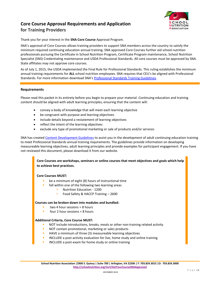## **Core Course Approval Requirements and Application for Training Providers**



Thank you for your interest in the **SNA Core Course** Approval Program.

SNA's approval of Core Courses allows training providers to support SNA members across the country to satisfy the minimum required continuing education annual training. SNA approved Core Courses further aid school nutrition professionals pursuing the Certificate in School Nutrition Program, Certificate Program maintenance, School Nutrition Specialist (SNS) Credentialing maintenance and USDA Professional Standards. All core courses must be approved by SNA. State affiliates may not approve core courses.

As of July 1, 2015, the USDA implemented the Final Rule for Professional Standards. This ruling establishes the minimum annual training requirements for **ALL** school nutrition employees. SNA requires that CEU's be aligned with Professional Standards. For more information download SNA's [Professional Standards Training Guidelines.](https://schoolnutrition.org/uploadedFiles/4_Certification,_Education_and_Professional_development/8_Professional_Standards/Professional%20Standards%20Training%20Guidelines%20JUL%202015.pdf)

#### **Requirements**

Please read this packet in its entirety before you begin to prepare your material. Continuing education and training content should be aligned with adult learning principles, ensuring that the content will:

- convey a body of knowledge that will meet each learning objective
- be congruent with purpose and learning objectives
- include details beyond a restatement of learning objectives
- reflect the intent of the learning objectives
- exclude any type of promotional marketing or sale of products and/or services

SNA has created [Content Development Guidelines](file:///C:/Users/taiken/iCloudDrive/School%20Nutrition/CEUs%20and%20Core%20Review/pending) to assist you in the development of adult continuing education training to meet Professional Standards annual training requirements. The guidelines provide information on developing measureable learning objectives, adult learning principles and provide examples for participant engagement. If you have not reviewed this document, please download it from our website.

**Core Courses are workshops, seminars or online courses that meet objectives and goals which help to achieve best practices.** 

#### **Core Courses MUST:**

- be a minimum of eight (8) hours of instructional time
- fall within one of the following two learning areas
	- Nutrition Education 1200
	- Food Safety & HACCP Training 2600

#### **Courses can be broken down into modules and bundled:**

- $two 4$  hour sessions  $= 8$  hours
- $four 2 hour$  sessions = 8 hours

#### **Additional Criteria, Core Course MUST:**

- NOT include introductions, breaks, meals or other non-training related activity
- NOT contain promotional, marketing or sales products
- HAVE a minimum of three (3) measureable learning objectives
- INCLUDE a post activity evaluation for live, home study and online training
- INCLUDE a post-exam for home study or online training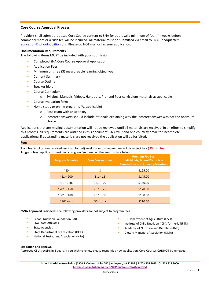#### **Core Course Approval Process**

Providers shall submit proposed Core Course content to SNA for approval a minimum of four (4) weeks before commencement or a rush fee will be incurred. All material must be submitted via email to SNA Headquarters: [education@schoolnutrition.org.](mailto:education@schoolnutrition.org) Please do NOT mail or fax your application.

#### **Documentation Requirements**

The following items MUST be included with your submission.

- **E** Completed SNA Core Course Approval Application
- Application Fees
- **■** Minimum of three (3) measureable learning objectives
- Content Summary
- Course Outline
- Speaker bio's
- Course Curriculum
	- o Syllabus, Manuals, Videos, Handouts, Pre- and Post-curriculum materials as applicable
- Course evaluation form
- **EXECUTE:** Home study or online programs (As applicable)
	- o Post-exam with answer key
	- $\circ$  Incorrect answers should include rationale explaining why the incorrect answer was not the optimum choice

Applications that are missing documentation will not be reviewed until all materials are received. In an effort to simplify this process, all requirements are outlined in this document. SNA will send one courtesy email for incomplete applications; if outstanding materials are not received the application will be forfeited.

#### **Fees**

**Rush fee:** Applications received less than four (4) weeks prior to the program will be subject to a **\$55 rush fee**. **Program fees:** Applicants must pay a program fee based on the fee structure below:

| <b>Program Minutes</b> | <b>Core Course Hours</b> | <b>Program Fee For:</b><br><b>Individuals, School Districts or</b><br><b>Associations and Industry Members</b> |
|------------------------|--------------------------|----------------------------------------------------------------------------------------------------------------|
| 480                    | 8                        | \$125.00                                                                                                       |
| $481 - 900$            | $8.1 - 15$               | \$145.00                                                                                                       |
| $901 - 1200$           | $15.1 - 20$              | \$150.00                                                                                                       |
| $1201 - 1500$          | $20.1 - 25$              | \$170.00                                                                                                       |
| $1501 - 1800$          | $25.1 - 30$              | \$190.00                                                                                                       |
| 1801 or $>$            | $30.1$ or $>$            | \$210.00                                                                                                       |

**\*SNA Approved Providers:** The following providers are not subject to program fees.

- School Nutrition Foundation (SNF)
- SNA State Affiliates
- State Agencies
- State Department of Education (DOE)
- National Restaurant Association (NRA)
- US Department of Agriculture (USDA)
- Institute of Child Nutrition (ICN), formerly NFSMI
- Academy of Nutrition and Dietetics (AND)
- **Dietary Managers Association (DMA)**

#### **Expiration and Renewal**

Approved CEU's expire in 3 years. If you wish to renew please resubmit a new application. Core Courses **CANNOT** be renewed.